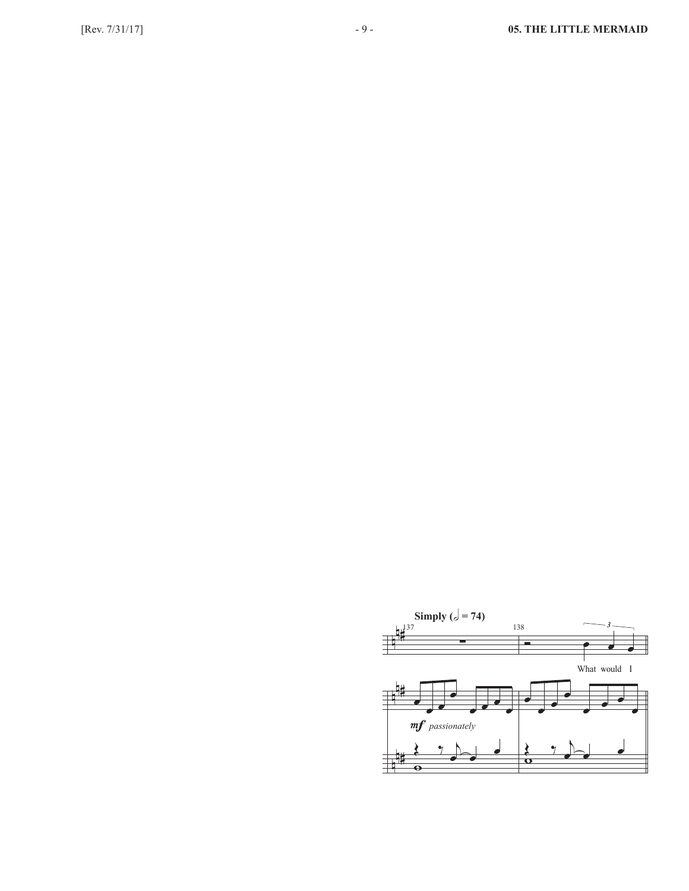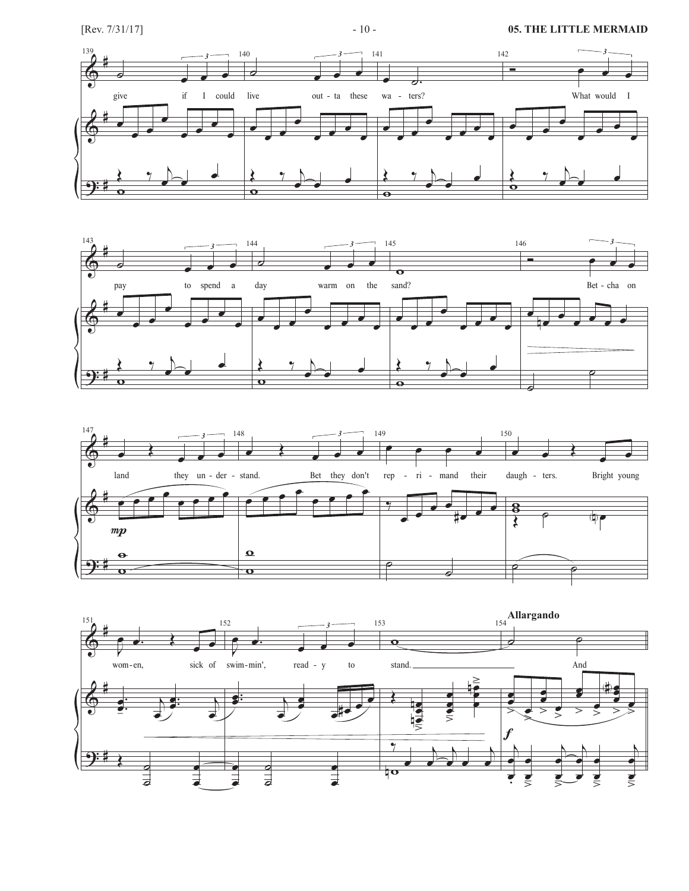## [Rev. 7/31/17] **05. THE LITTLE MERMAID** - 10 - **05. THE LITTLE MERMAID**







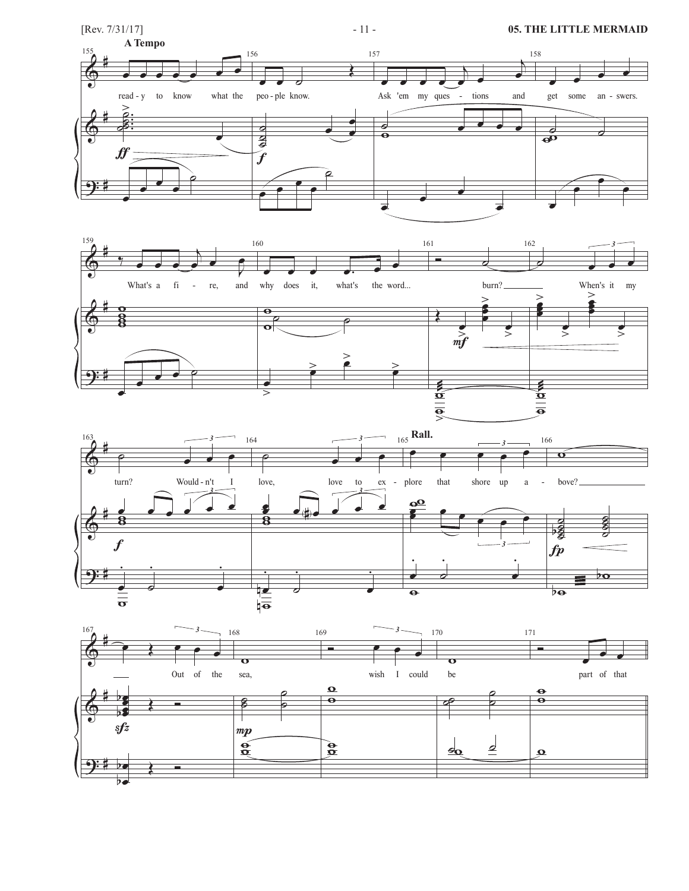